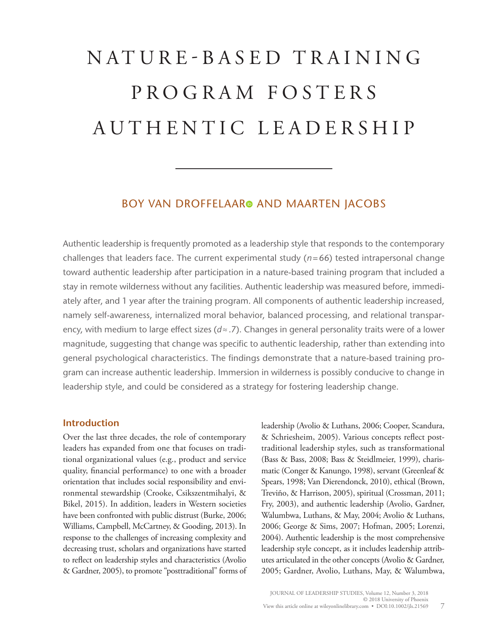# N A T U R E - B A S E D T R A I N I N G P R O G R A M F O S T E R S AUTHENTIC LEADERSHIP

## BOY VAN DROFFELAAR<sup>®</sup> AND MAARTEN JACOBS

Authentic leadership is frequently promoted as a leadership style that responds to the contemporary challenges that leaders face. The current experimental study (*n*=66) tested intrapersonal change toward authentic leadership after participation in a nature-based training program that included a stay in remote wilderness without any facilities. Authentic leadership was measured before, immediately after, and 1 year after the training program. All components of authentic leadership increased, namely self-awareness, internalized moral behavior, balanced processing, and relational transparency, with medium to large effect sizes (*d*≈.7). Changes in general personality traits were of a lower magnitude, suggesting that change was specific to authentic leadership, rather than extending into general psychological characteristics. The findings demonstrate that a nature-based training program can increase authentic leadership. Immersion in wilderness is possibly conducive to change in leadership style, and could be considered as a strategy for fostering leadership change.

## **Introduction**

Over the last three decades, the role of contemporary leaders has expanded from one that focuses on traditional organizational values (e.g., product and service quality, financial performance) to one with a broader orientation that includes social responsibility and environmental stewardship (Crooke, Csikszentmihalyi, & Bikel, 2015). In addition, leaders in Western societies have been confronted with public distrust (Burke, 2006; Williams, Campbell, McCartney, & Gooding, 2013). In response to the challenges of increasing complexity and decreasing trust, scholars and organizations have started to reflect on leadership styles and characteristics (Avolio & Gardner, 2005), to promote "posttraditional" forms of leadership (Avolio & Luthans, 2006; Cooper, Scandura, & Schriesheim, 2005). Various concepts reflect posttraditional leadership styles, such as transformational (Bass & Bass, 2008; Bass & Steidlmeier, 1999), charismatic (Conger & Kanungo, 1998), servant (Greenleaf & Spears, 1998; Van Dierendonck, 2010), ethical (Brown, Treviño, & Harrison, 2005), spiritual (Crossman, 2011; Fry, 2003), and authentic leadership (Avolio, Gardner, Walumbwa, Luthans, & May, 2004; Avolio & Luthans, 2006; George & Sims, 2007; Hofman, 2005; Lorenzi, 2004). Authentic leadership is the most comprehensive leadership style concept, as it includes leadership attributes articulated in the other concepts (Avolio & Gardner, 2005; Gardner, Avolio, Luthans, May, & Walumbwa,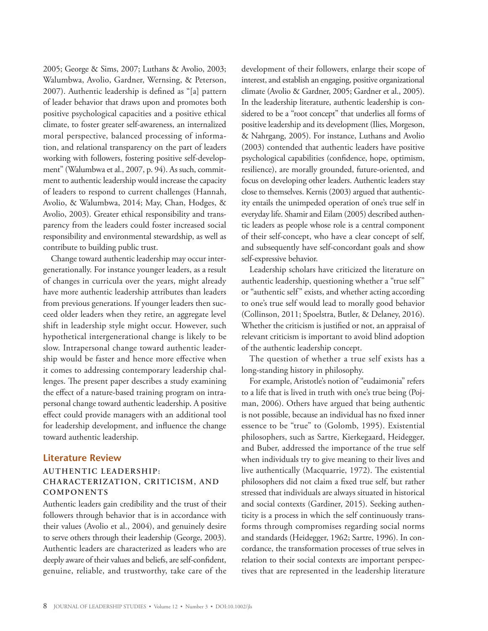2005; George & Sims, 2007; Luthans & Avolio, 2003; Walumbwa, Avolio, Gardner, Wernsing, & Peterson, 2007). Authentic leadership is defined as "[a] pattern of leader behavior that draws upon and promotes both positive psychological capacities and a positive ethical climate, to foster greater self-awareness, an internalized moral perspective, balanced processing of information, and relational transparency on the part of leaders working with followers, fostering positive self-development" (Walumbwa et al., 2007, p. 94). As such, commitment to authentic leadership would increase the capacity of leaders to respond to current challenges (Hannah, Avolio, & Walumbwa, 2014; May, Chan, Hodges, & Avolio, 2003). Greater ethical responsibility and transparency from the leaders could foster increased social responsibility and environmental stewardship, as well as contribute to building public trust.

Change toward authentic leadership may occur intergenerationally. For instance younger leaders, as a result of changes in curricula over the years, might already have more authentic leadership attributes than leaders from previous generations. If younger leaders then succeed older leaders when they retire, an aggregate level shift in leadership style might occur. However, such hypothetical intergenerational change is likely to be slow. Intrapersonal change toward authentic leadership would be faster and hence more effective when it comes to addressing contemporary leadership challenges. The present paper describes a study examining the effect of a nature-based training program on intrapersonal change toward authentic leadership. A positive effect could provide managers with an additional tool for leadership development, and influence the change toward authentic leadership.

#### **Literature Review**

## **AUTHENTIC LEADERSHIP: CHARACTERIZATION, CRITICISM, AND COMPONENTS**

Authentic leaders gain credibility and the trust of their followers through behavior that is in accordance with their values (Avolio et al., 2004), and genuinely desire to serve others through their leadership (George, 2003). Authentic leaders are characterized as leaders who are deeply aware of their values and beliefs, are self-confident, genuine, reliable, and trustworthy, take care of the development of their followers, enlarge their scope of interest, and establish an engaging, positive organizational climate (Avolio & Gardner, 2005; Gardner et al., 2005). In the leadership literature, authentic leadership is considered to be a "root concept" that underlies all forms of positive leadership and its development (Ilies, Morgeson, & Nahrgang, 2005). For instance, Luthans and Avolio (2003) contended that authentic leaders have positive psychological capabilities (confidence, hope, optimism, resilience), are morally grounded, future-oriented, and focus on developing other leaders. Authentic leaders stay close to themselves. Kernis (2003) argued that authenticity entails the unimpeded operation of one's true self in everyday life. Shamir and Eilam (2005) described authentic leaders as people whose role is a central component of their self-concept, who have a clear concept of self, and subsequently have self-concordant goals and show self-expressive behavior.

Leadership scholars have criticized the literature on authentic leadership, questioning whether a "true self" or "authentic self" exists, and whether acting according to one's true self would lead to morally good behavior (Collinson, 2011; Spoelstra, Butler, & Delaney, 2016). Whether the criticism is justified or not, an appraisal of relevant criticism is important to avoid blind adoption of the authentic leadership concept.

The question of whether a true self exists has a long-standing history in philosophy.

For example, Aristotle's notion of "eudaimonia" refers to a life that is lived in truth with one's true being (Pojman, 2006). Others have argued that being authentic is not possible, because an individual has no fixed inner essence to be "true" to (Golomb, 1995). Existential philosophers, such as Sartre, Kierkegaard, Heidegger, and Buber, addressed the importance of the true self when individuals try to give meaning to their lives and live authentically (Macquarrie, 1972). The existential philosophers did not claim a fixed true self, but rather stressed that individuals are always situated in historical and social contexts (Gardiner, 2015). Seeking authenticity is a process in which the self continuously transforms through compromises regarding social norms and standards (Heidegger, 1962; Sartre, 1996). In concordance, the transformation processes of true selves in relation to their social contexts are important perspectives that are represented in the leadership literature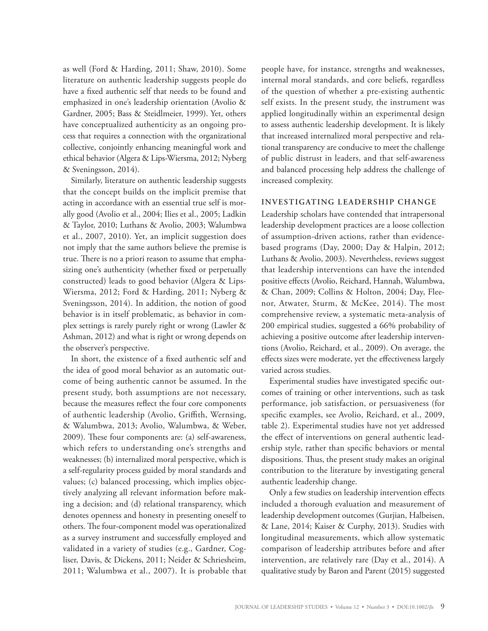as well (Ford & Harding, 2011; Shaw, 2010). Some literature on authentic leadership suggests people do have a fixed authentic self that needs to be found and emphasized in one's leadership orientation (Avolio & Gardner, 2005; Bass & Steidlmeier, 1999). Yet, others have conceptualized authenticity as an ongoing process that requires a connection with the organizational collective, conjointly enhancing meaningful work and ethical behavior (Algera & Lips-Wiersma, 2012; Nyberg & Sveningsson, 2014).

Similarly, literature on authentic leadership suggests that the concept builds on the implicit premise that acting in accordance with an essential true self is morally good (Avolio et al., 2004; Ilies et al., 2005; Ladkin & Taylor, 2010; Luthans & Avolio, 2003; Walumbwa et al., 2007, 2010). Yet, an implicit suggestion does not imply that the same authors believe the premise is true. There is no a priori reason to assume that emphasizing one's authenticity (whether fixed or perpetually constructed) leads to good behavior (Algera & Lips-Wiersma, 2012; Ford & Harding, 2011; Nyberg & Sveningsson, 2014). In addition, the notion of good behavior is in itself problematic, as behavior in complex settings is rarely purely right or wrong (Lawler & Ashman, 2012) and what is right or wrong depends on the observer's perspective.

In short, the existence of a fixed authentic self and the idea of good moral behavior as an automatic outcome of being authentic cannot be assumed. In the present study, both assumptions are not necessary, because the measures reflect the four core components of authentic leadership (Avolio, Griffith, Wernsing, & Walumbwa, 2013; Avolio, Walumbwa, & Weber, 2009). These four components are: (a) self-awareness, which refers to understanding one's strengths and weaknesses; (b) internalized moral perspective, which is a self-regularity process guided by moral standards and values; (c) balanced processing, which implies objectively analyzing all relevant information before making a decision; and (d) relational transparency, which denotes openness and honesty in presenting oneself to others. The four-component model was operationalized as a survey instrument and successfully employed and validated in a variety of studies (e.g., Gardner, Cogliser, Davis, & Dickens, 2011; Neider & Schriesheim, 2011; Walumbwa et al., 2007). It is probable that people have, for instance, strengths and weaknesses, internal moral standards, and core beliefs, regardless of the question of whether a pre-existing authentic self exists. In the present study, the instrument was applied longitudinally within an experimental design to assess authentic leadership development. It is likely that increased internalized moral perspective and relational transparency are conducive to meet the challenge of public distrust in leaders, and that self-awareness and balanced processing help address the challenge of increased complexity.

#### **INVESTIGATING LEADERSHIP CHANGE**

Leadership scholars have contended that intrapersonal leadership development practices are a loose collection of assumption-driven actions, rather than evidencebased programs (Day, 2000; Day & Halpin, 2012; Luthans & Avolio, 2003). Nevertheless, reviews suggest that leadership interventions can have the intended positive effects (Avolio, Reichard, Hannah, Walumbwa, & Chan, 2009; Collins & Holton, 2004; Day, Fleenor, Atwater, Sturm, & McKee, 2014). The most comprehensive review, a systematic meta-analysis of 200 empirical studies, suggested a 66% probability of achieving a positive outcome after leadership interventions (Avolio, Reichard, et al., 2009). On average, the effects sizes were moderate, yet the effectiveness largely varied across studies.

Experimental studies have investigated specific outcomes of training or other interventions, such as task performance, job satisfaction, or persuasiveness (for specific examples, see Avolio, Reichard, et al., 2009, table 2). Experimental studies have not yet addressed the effect of interventions on general authentic leadership style, rather than specific behaviors or mental dispositions. Thus, the present study makes an original contribution to the literature by investigating general authentic leadership change.

Only a few studies on leadership intervention effects included a thorough evaluation and measurement of leadership development outcomes (Gurjian, Halbeisen, & Lane, 2014; Kaiser & Curphy, 2013). Studies with longitudinal measurements, which allow systematic comparison of leadership attributes before and after intervention, are relatively rare (Day et al., 2014). A qualitative study by Baron and Parent (2015) suggested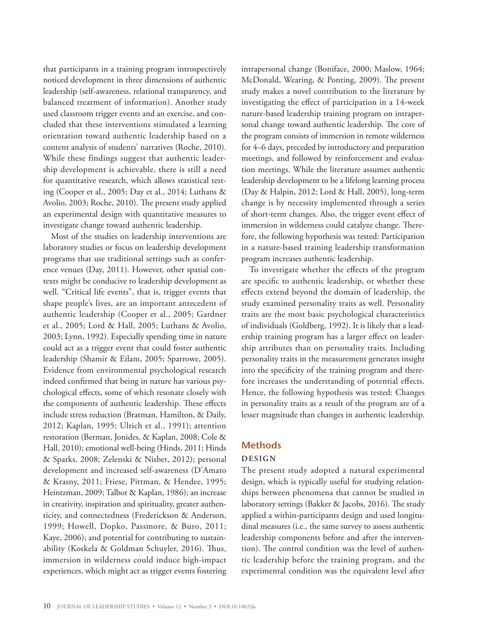that participants in a training program introspectively noticed development in three dimensions of authentic leadership (self-awareness, relational transparency, and balanced treatment of information). Another study used classroom trigger events and an exercise, and concluded that these interventions stimulated a learning orientation toward authentic leadership based on a content analysis of students' narratives (Roche, 2010). While these findings suggest that authentic leadership development is achievable, there is still a need for quantitative research, which allows statistical testing (Cooper et al., 2005; Day et al., 2014; Luthans & Avolio, 2003; Roche, 2010). The present study applied an experimental design with quantitative measures to investigate change toward authentic leadership.

Most of the studies on leadership interventions are laboratory studies or focus on leadership development programs that use traditional settings such as conference venues (Day, 2011). However, other spatial contexts might be conducive to leadership development as well. "Critical life events", that is, trigger events that shape people's lives, are an important antecedent of authentic leadership (Cooper et al., 2005; Gardner et al., 2005; Lord & Hall, 2005; Luthans & Avolio, 2003; Lynn, 1992). Especially spending time in nature could act as a trigger event that could foster authentic leadership (Shamir & Eilam, 2005; Sparrowe, 2005). Evidence from environmental psychological research indeed confirmed that being in nature has various psychological effects, some of which resonate closely with the components of authentic leadership. These effects include stress reduction (Bratman, Hamilton, & Daily, 2012; Kaplan, 1995; Ulrich et al., 1991); attention restoration (Berman, Jonides, & Kaplan, 2008; Cole & Hall, 2010); emotional well-being (Hinds, 2011; Hinds & Sparks, 2008; Zelenski & Nisbet, 2012); personal development and increased self-awareness (D'Amato & Krasny, 2011; Friese, Pittman, & Hendee, 1995; Heintzman, 2009; Talbot & Kaplan, 1986); an increase in creativity, inspiration and spirituality, greater authenticity, and connectedness (Frederickson & Anderson, 1999; Howell, Dopko, Passmore, & Buro, 2011; Kaye, 2006); and potential for contributing to sustainability (Koskela & Goldman Schuyler, 2016). Thus, immersion in wilderness could induce high-impact experiences, which might act as trigger events fostering intrapersonal change (Boniface, 2000; Maslow, 1964; McDonald, Wearing, & Ponting, 2009). The present study makes a novel contribution to the literature by investigating the effect of participation in a 14-week nature-based leadership training program on intrapersonal change toward authentic leadership. The core of the program consists of immersion in remote wilderness for 4–6 days, preceded by introductory and preparation meetings, and followed by reinforcement and evaluation meetings. While the literature assumes authentic leadership development to be a lifelong learning process (Day & Halpin, 2012; Lord & Hall, 2005), long-term change is by necessity implemented through a series of short-term changes. Also, the trigger event effect of immersion in wilderness could catalyze change. Therefore, the following hypothesis was tested: Participation in a nature-based training leadership transformation program increases authentic leadership.

To investigate whether the effects of the program are specific to authentic leadership, or whether these effects extend beyond the domain of leadership, the study examined personality traits as well. Personality traits are the most basic psychological characteristics of individuals (Goldberg, 1992). It is likely that a leadership training program has a larger effect on leadership attributes than on personality traits. Including personality traits in the measurement generates insight into the specificity of the training program and therefore increases the understanding of potential effects. Hence, the following hypothesis was tested: Changes in personality traits as a result of the program are of a lesser magnitude than changes in authentic leadership.

## **Methods**

## **DESIGN**

The present study adopted a natural experimental design, which is typically useful for studying relationships between phenomena that cannot be studied in laboratory settings (Bakker & Jacobs, 2016). The study applied a within-participants design and used longitudinal measures (i.e., the same survey to assess authentic leadership components before and after the intervention). The control condition was the level of authentic leadership before the training program, and the experimental condition was the equivalent level after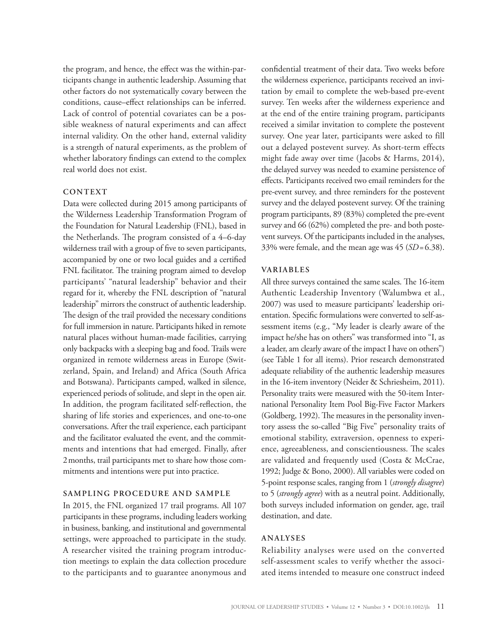the program, and hence, the effect was the within-participants change in authentic leadership. Assuming that other factors do not systematically covary between the conditions, cause–effect relationships can be inferred. Lack of control of potential covariates can be a possible weakness of natural experiments and can affect internal validity. On the other hand, external validity is a strength of natural experiments, as the problem of whether laboratory findings can extend to the complex real world does not exist.

#### **CONTEXT**

Data were collected during 2015 among participants of the Wilderness Leadership Transformation Program of the Foundation for Natural Leadership (FNL), based in the Netherlands. The program consisted of a 4–6-day wilderness trail with a group of five to seven participants, accompanied by one or two local guides and a certified FNL facilitator. The training program aimed to develop participants' "natural leadership" behavior and their regard for it, whereby the FNL description of "natural leadership" mirrors the construct of authentic leadership. The design of the trail provided the necessary conditions for full immersion in nature. Participants hiked in remote natural places without human-made facilities, carrying only backpacks with a sleeping bag and food. Trails were organized in remote wilderness areas in Europe (Switzerland, Spain, and Ireland) and Africa (South Africa and Botswana). Participants camped, walked in silence, experienced periods of solitude, and slept in the open air. In addition, the program facilitated self-reflection, the sharing of life stories and experiences, and one-to-one conversations. After the trail experience, each participant and the facilitator evaluated the event, and the commitments and intentions that had emerged. Finally, after 2months, trail participants met to share how those commitments and intentions were put into practice.

#### **SAMPLING PROCEDURE AND SAMPLE**

In 2015, the FNL organized 17 trail programs. All 107 participants in these programs, including leaders working in business, banking, and institutional and governmental settings, were approached to participate in the study. A researcher visited the training program introduction meetings to explain the data collection procedure to the participants and to guarantee anonymous and

confidential treatment of their data. Two weeks before the wilderness experience, participants received an invitation by email to complete the web-based pre-event survey. Ten weeks after the wilderness experience and at the end of the entire training program, participants received a similar invitation to complete the postevent survey. One year later, participants were asked to fill out a delayed postevent survey. As short-term effects might fade away over time (Jacobs & Harms, 2014), the delayed survey was needed to examine persistence of effects. Participants received two email reminders for the pre-event survey, and three reminders for the postevent survey and the delayed postevent survey. Of the training program participants, 89 (83%) completed the pre-event survey and 66 (62%) completed the pre- and both postevent surveys. Of the participants included in the analyses, 33% were female, and the mean age was 45 (*SD*=6.38).

#### **VARIABLES**

All three surveys contained the same scales. The 16-item Authentic Leadership Inventory (Walumbwa et al., 2007) was used to measure participants' leadership orientation. Specific formulations were converted to self-assessment items (e.g., "My leader is clearly aware of the impact he/she has on others" was transformed into "I, as a leader, am clearly aware of the impact I have on others") (see Table 1 for all items). Prior research demonstrated adequate reliability of the authentic leadership measures in the 16-item inventory (Neider & Schriesheim, 2011). Personality traits were measured with the 50-item International Personality Item Pool Big-Five Factor Markers (Goldberg, 1992). The measures in the personality inventory assess the so-called "Big Five" personality traits of emotional stability, extraversion, openness to experience, agreeableness, and conscientiousness. The scales are validated and frequently used (Costa & McCrae, 1992; Judge & Bono, 2000). All variables were coded on 5-point response scales, ranging from 1 (*strongly disagree*) to 5 (*strongly agree*) with as a neutral point. Additionally, both surveys included information on gender, age, trail destination, and date.

## **ANALYSES**

Reliability analyses were used on the converted self-assessment scales to verify whether the associated items intended to measure one construct indeed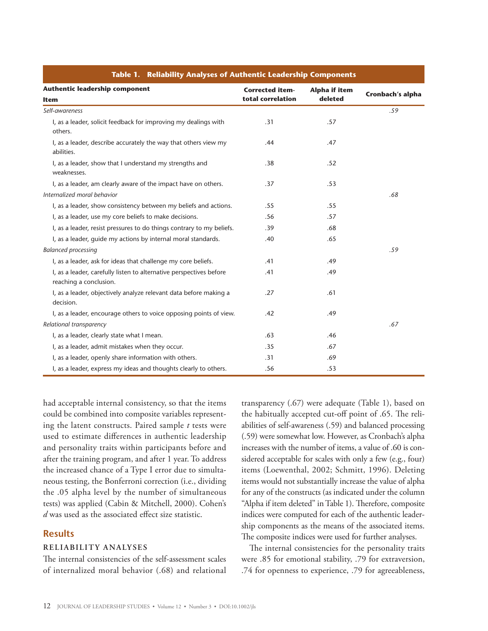| Table 1. Reliability Analyses of Authentic Leadership Components                              |                                             |                                 |                  |  |  |  |  |
|-----------------------------------------------------------------------------------------------|---------------------------------------------|---------------------------------|------------------|--|--|--|--|
| <b>Authentic leadership component</b><br><b>Item</b>                                          | <b>Corrected item-</b><br>total correlation | <b>Alpha if item</b><br>deleted | Cronbach's alpha |  |  |  |  |
| Self-awareness                                                                                |                                             |                                 | .59              |  |  |  |  |
| I, as a leader, solicit feedback for improving my dealings with<br>others.                    | .31                                         | .57                             |                  |  |  |  |  |
| I, as a leader, describe accurately the way that others view my<br>abilities.                 | .44                                         | .47                             |                  |  |  |  |  |
| I, as a leader, show that I understand my strengths and<br>weaknesses.                        | .38                                         | .52                             |                  |  |  |  |  |
| I, as a leader, am clearly aware of the impact have on others.                                | .37                                         | .53                             |                  |  |  |  |  |
| Internalized moral behavior                                                                   |                                             |                                 | .68              |  |  |  |  |
| I, as a leader, show consistency between my beliefs and actions.                              | .55                                         | .55                             |                  |  |  |  |  |
| I, as a leader, use my core beliefs to make decisions.                                        | .56                                         | .57                             |                  |  |  |  |  |
| I, as a leader, resist pressures to do things contrary to my beliefs.                         | .39                                         | .68                             |                  |  |  |  |  |
| I, as a leader, guide my actions by internal moral standards.                                 | .40                                         | .65                             |                  |  |  |  |  |
| <b>Balanced processing</b>                                                                    |                                             |                                 | .59              |  |  |  |  |
| I, as a leader, ask for ideas that challenge my core beliefs.                                 | .41                                         | .49                             |                  |  |  |  |  |
| I, as a leader, carefully listen to alternative perspectives before<br>reaching a conclusion. | .41                                         | .49                             |                  |  |  |  |  |
| I, as a leader, objectively analyze relevant data before making a<br>decision.                | .27                                         | .61                             |                  |  |  |  |  |
| I, as a leader, encourage others to voice opposing points of view.                            | .42                                         | .49                             |                  |  |  |  |  |
| Relational transparency                                                                       |                                             |                                 | .67              |  |  |  |  |
| I, as a leader, clearly state what I mean.                                                    | .63                                         | .46                             |                  |  |  |  |  |
| I, as a leader, admit mistakes when they occur.                                               | .35                                         | .67                             |                  |  |  |  |  |
| I, as a leader, openly share information with others.                                         | .31                                         | .69                             |                  |  |  |  |  |
| I, as a leader, express my ideas and thoughts clearly to others.                              | .56                                         | .53                             |                  |  |  |  |  |

had acceptable internal consistency, so that the items could be combined into composite variables representing the latent constructs. Paired sample *t* tests were used to estimate differences in authentic leadership and personality traits within participants before and after the training program, and after 1 year. To address the increased chance of a Type I error due to simultaneous testing, the Bonferroni correction (i.e., dividing the .05 alpha level by the number of simultaneous tests) was applied (Cabin & Mitchell, 2000). Cohen's *d* was used as the associated effect size statistic.

## **Results**

#### **RELIABILITY ANALYSES**

The internal consistencies of the self-assessment scales of internalized moral behavior (.68) and relational

transparency (.67) were adequate (Table 1), based on the habitually accepted cut-off point of .65. The reliabilities of self-awareness (.59) and balanced processing (.59) were somewhat low. However, as Cronbach's alpha increases with the number of items, a value of .60 is considered acceptable for scales with only a few (e.g., four) items (Loewenthal, 2002; Schmitt, 1996). Deleting items would not substantially increase the value of alpha for any of the constructs (as indicated under the column "Alpha if item deleted" in Table 1). Therefore, composite indices were computed for each of the authentic leadership components as the means of the associated items. The composite indices were used for further analyses.

The internal consistencies for the personality traits were .85 for emotional stability, .79 for extraversion, .74 for openness to experience, .79 for agreeableness,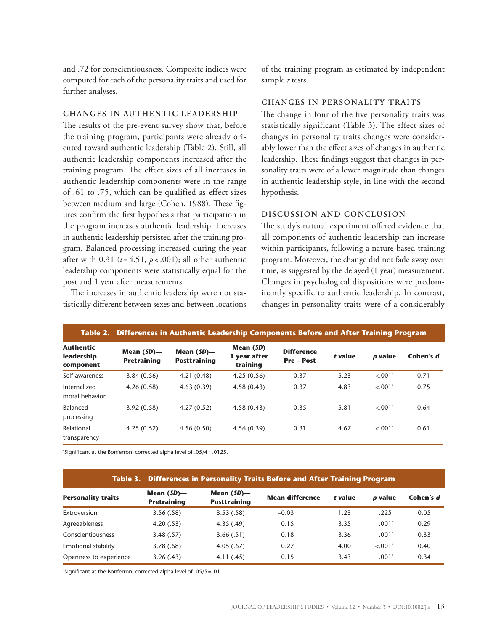and .72 for conscientiousness. Composite indices were computed for each of the personality traits and used for further analyses.

#### **CHANGES IN AUTHENTIC LEADERSHIP**

The results of the pre-event survey show that, before the training program, participants were already oriented toward authentic leadership (Table 2). Still, all authentic leadership components increased after the training program. The effect sizes of all increases in authentic leadership components were in the range of .61 to .75, which can be qualified as effect sizes between medium and large (Cohen, 1988). These figures confirm the first hypothesis that participation in the program increases authentic leadership. Increases in authentic leadership persisted after the training program. Balanced processing increased during the year after with 0.31 ( $t = 4.51$ ,  $p < .001$ ); all other authentic leadership components were statistically equal for the post and 1 year after measurements.

The increases in authentic leadership were not statistically different between sexes and between locations

of the training program as estimated by independent sample *t* tests.

### **CHANGES IN PERSONALITY TRAITS**

The change in four of the five personality traits was statistically significant (Table 3). The effect sizes of changes in personality traits changes were considerably lower than the effect sizes of changes in authentic leadership. These findings suggest that changes in personality traits were of a lower magnitude than changes in authentic leadership style, in line with the second hypothesis.

#### **DISCUSSION AND CONCLUSION**

The study's natural experiment offered evidence that all components of authentic leadership can increase within participants, following a nature-based training program. Moreover, the change did not fade away over time, as suggested by the delayed (1 year) measurement. Changes in psychological dispositions were predominantly specific to authentic leadership. In contrast, changes in personality traits were of a considerably

|                                             | Table 2. Differences in Authentic Leadership Components Before and After Training Program |                                      |                                       |                                      |         |         |           |
|---------------------------------------------|-------------------------------------------------------------------------------------------|--------------------------------------|---------------------------------------|--------------------------------------|---------|---------|-----------|
| <b>Authentic</b><br>leadership<br>component | Mean $(SD)$ —<br><b>Pretraining</b>                                                       | Mean $(SD)$ —<br><b>Posttraining</b> | Mean (SD)<br>1 year after<br>training | <b>Difference</b><br><b>Pre-Post</b> | t value | p value | Cohen's d |
| Self-awareness                              | 3.84(0.56)                                                                                | 4.21(0.48)                           | 4.25(0.56)                            | 0.37                                 | 5.23    | < 0.01  | 0.71      |
| Internalized<br>moral behavior              | 4.26(0.58)                                                                                | 4.63(0.39)                           | 4.58(0.43)                            | 0.37                                 | 4.83    | < 0.01  | 0.75      |
| Balanced<br>processing                      | 3.92(0.58)                                                                                | 4.27(0.52)                           | 4.58(0.43)                            | 0.35                                 | 5.81    | < .001" | 0.64      |
| Relational<br>transparency                  | 4.25(0.52)                                                                                | 4.56(0.50)                           | 4.56(0.39)                            | 0.31                                 | 4.67    | < 0.01  | 0.61      |

\* Significant at the Bonferroni corrected alpha level of .05/4=.0125.

#### **Table 3. Differences in Personality Traits Before and After Training Program**

| <b>Personality traits</b> | Mean $(SD)$ —<br><b>Pretraining</b> | Mean $(SD)$ —<br><b>Posttraining</b> | <b>Mean difference</b> | t value | <i><b>p</b></i> value | Cohen's d |
|---------------------------|-------------------------------------|--------------------------------------|------------------------|---------|-----------------------|-----------|
| Extroversion              | 3.56(.58)                           | 3.53(.58)                            | $-0.03$                | 1.23    | .225                  | 0.05      |
| Agreeableness             | 4.20(.53)                           | 4.35(.49)                            | 0.15                   | 3.35    | .001                  | 0.29      |
| Conscientiousness         | 3.48(.57)                           | 3.66(.51)                            | 0.18                   | 3.36    | .001'                 | 0.33      |
| Emotional stability       | 3.78(.68)                           | 4.05(.67)                            | 0.27                   | 4.00    | < .001'               | 0.40      |
| Openness to experience    | 3.96(.43)                           | 4.11(.45)                            | 0.15                   | 3.43    | .001'                 | 0.34      |

\* Significant at the Bonferroni corrected alpha level of .05/5=.01.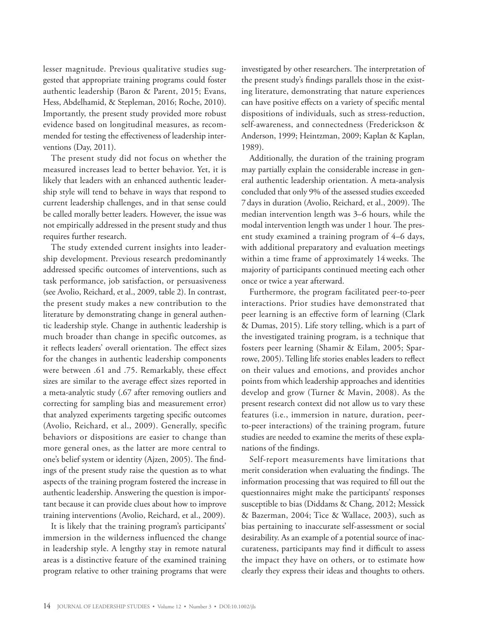lesser magnitude. Previous qualitative studies suggested that appropriate training programs could foster authentic leadership (Baron & Parent, 2015; Evans, Hess, Abdelhamid, & Stepleman, 2016; Roche, 2010). Importantly, the present study provided more robust evidence based on longitudinal measures, as recommended for testing the effectiveness of leadership interventions (Day, 2011).

The present study did not focus on whether the measured increases lead to better behavior. Yet, it is likely that leaders with an enhanced authentic leadership style will tend to behave in ways that respond to current leadership challenges, and in that sense could be called morally better leaders. However, the issue was not empirically addressed in the present study and thus requires further research.

The study extended current insights into leadership development. Previous research predominantly addressed specific outcomes of interventions, such as task performance, job satisfaction, or persuasiveness (see Avolio, Reichard, et al., 2009, table 2). In contrast, the present study makes a new contribution to the literature by demonstrating change in general authentic leadership style. Change in authentic leadership is much broader than change in specific outcomes, as it reflects leaders' overall orientation. The effect sizes for the changes in authentic leadership components were between .61 and .75. Remarkably, these effect sizes are similar to the average effect sizes reported in a meta-analytic study (.67 after removing outliers and correcting for sampling bias and measurement error) that analyzed experiments targeting specific outcomes (Avolio, Reichard, et al., 2009). Generally, specific behaviors or dispositions are easier to change than more general ones, as the latter are more central to one's belief system or identity (Ajzen, 2005). The findings of the present study raise the question as to what aspects of the training program fostered the increase in authentic leadership. Answering the question is important because it can provide clues about how to improve training interventions (Avolio, Reichard, et al., 2009).

It is likely that the training program's participants' immersion in the wilderness influenced the change in leadership style. A lengthy stay in remote natural areas is a distinctive feature of the examined training program relative to other training programs that were investigated by other researchers. The interpretation of the present study's findings parallels those in the existing literature, demonstrating that nature experiences can have positive effects on a variety of specific mental dispositions of individuals, such as stress-reduction, self-awareness, and connectedness (Frederickson & Anderson, 1999; Heintzman, 2009; Kaplan & Kaplan, 1989).

Additionally, the duration of the training program may partially explain the considerable increase in general authentic leadership orientation. A meta-analysis concluded that only 9% of the assessed studies exceeded 7days in duration (Avolio, Reichard, et al., 2009). The median intervention length was 3–6 hours, while the modal intervention length was under 1 hour. The present study examined a training program of 4–6 days, with additional preparatory and evaluation meetings within a time frame of approximately 14weeks. The majority of participants continued meeting each other once or twice a year afterward.

Furthermore, the program facilitated peer-to-peer interactions. Prior studies have demonstrated that peer learning is an effective form of learning (Clark & Dumas, 2015). Life story telling, which is a part of the investigated training program, is a technique that fosters peer learning (Shamir & Eilam, 2005; Sparrowe, 2005). Telling life stories enables leaders to reflect on their values and emotions, and provides anchor points from which leadership approaches and identities develop and grow (Turner & Mavin, 2008). As the present research context did not allow us to vary these features (i.e., immersion in nature, duration, peerto-peer interactions) of the training program, future studies are needed to examine the merits of these explanations of the findings.

Self-report measurements have limitations that merit consideration when evaluating the findings. The information processing that was required to fill out the questionnaires might make the participants' responses susceptible to bias (Diddams & Chang, 2012; Messick & Bazerman, 2004; Tice & Wallace, 2003), such as bias pertaining to inaccurate self-assessment or social desirability. As an example of a potential source of inaccurateness, participants may find it difficult to assess the impact they have on others, or to estimate how clearly they express their ideas and thoughts to others.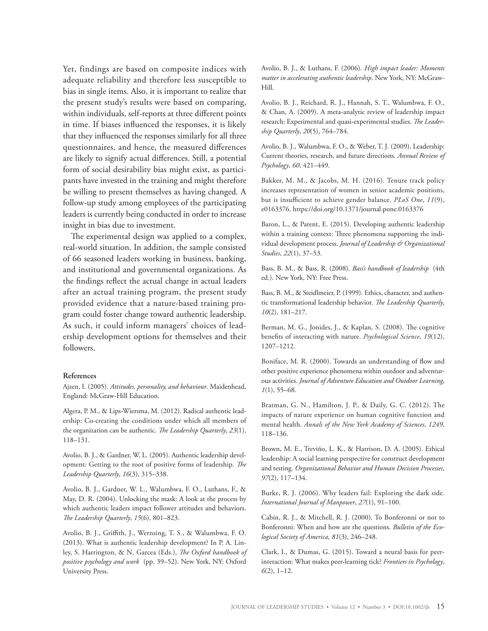Yet, findings are based on composite indices with adequate reliability and therefore less susceptible to bias in single items. Also, it is important to realize that the present study's results were based on comparing, within individuals, self-reports at three different points in time. If biases influenced the responses, it is likely that they influenced the responses similarly for all three questionnaires, and hence, the measured differences are likely to signify actual differences. Still, a potential form of social desirability bias might exist, as participants have invested in the training and might therefore be willing to present themselves as having changed. A follow-up study among employees of the participating leaders is currently being conducted in order to increase insight in bias due to investment.

The experimental design was applied to a complex, real-world situation. In addition, the sample consisted of 66 seasoned leaders working in business, banking, and institutional and governmental organizations. As the findings reflect the actual change in actual leaders after an actual training program, the present study provided evidence that a nature-based training program could foster change toward authentic leadership. As such, it could inform managers' choices of leadership development options for themselves and their followers.

#### **References**

Ajzen, I. (2005). *Attitudes, personality, and behaviour*. Maidenhead, England: McGraw-Hill Education.

Algera, P. M., & Lips-Wiersma, M. (2012). Radical authentic leadership: Co-creating the conditions under which all members of the organization can be authentic. *The Leadership Quarterly*, *23*(1), 118–131.

Avolio, B. J., & Gardner, W. L. (2005). Authentic leadership development: Getting to the root of positive forms of leadership. *The Leadership Quarterly*, *16*(3), 315–338.

Avolio, B. J., Gardner, W. L., Walumbwa, F. O., Luthans, F., & May, D. R. (2004). Unlocking the mask: A look at the process by which authentic leaders impact follower attitudes and behaviors. *The Leadership Quarterly*, *15*(6), 801–823.

Avolio, B. J., Griffith, J., Wernsing, T. S., & Walumbwa, F. O. (2013). What is authentic leadership development? In P. A. Linley, S. Harrington, & N. Garcea (Eds.), *The Oxford handbook of positive psychology and work* (pp. 39–52). New York, NY: Oxford University Press.

Avolio, B. J., & Luthans, F. (2006). *High impact leader: Moments matter in accelerating authentic leadership*. New York, NY: McGraw-Hill.

Avolio, B. J., Reichard, R. J., Hannah, S. T., Walumbwa, F. O., & Chan, A. (2009). A meta-analytic review of leadership impact research: Experimental and quasi-experimental studies. *The Leadership Quarterly*, *20*(5), 764–784.

Avolio, B. J., Walumbwa, F. O., & Weber, T. J. (2009). Leadership: Current theories, research, and future directions. *Annual Review of Psychology*, *60*, 421–449.

Bakker, M. M., & Jacobs, M. H. (2016). Tenure track policy increases representation of women in senior academic positions, but is insufficient to achieve gender balance. *PLoS One*, *11*(9), e0163376. https://doi.org/10.1371/journal.pone.0163376

Baron, L., & Parent, E. (2015). Developing authentic leadership within a training context: Three phenomena supporting the individual development process. *Journal of Leadership & Organizational Studies*, *22*(1), 37–53.

Bass, B. M., & Bass, R. (2008). *Bass's handbook of leadership* (4th ed.). New York, NY: Free Press.

Bass, B. M., & Steidlmeier, P. (1999). Ethics, character, and authentic transformational leadership behavior. *The Leadership Quarterly*, *10*(2), 181–217.

Berman, M. G., Jonides, J., & Kaplan, S. (2008). The cognitive benefits of interacting with nature. *Psychological Science*, *19*(12), 1207–1212.

Boniface, M. R. (2000). Towards an understanding of flow and other positive experience phenomena within outdoor and adventurous activities. *Journal of Adventure Education and Outdoor Learning*, *1*(1), 55–68.

Bratman, G. N., Hamilton, J. P., & Daily, G. C. (2012). The impacts of nature experience on human cognitive function and mental health. *Annals of the New York Academy of Sciences*, *1249*, 118–136.

Brown, M. E., Treviño, L. K., & Harrison, D. A. (2005). Ethical leadership: A social learning perspective for construct development and testing. *Organizational Behavior and Human Decision Processes*, *97*(2), 117–134.

Burke, R. J. (2006). Why leaders fail: Exploring the dark side. *International Journal of Manpower*, *27*(1), 91–100.

Cabin, R. J., & Mitchell, R. J. (2000). To Bonferonni or not to Bonferonni: When and how are the questions. *Bulletin of the Ecological Society of America*, *81*(3), 246–248.

Clark, I., & Dumas, G. (2015). Toward a neural basis for peerinteraction: What makes peer-learning tick? *Frontiers in Psychology*, *6*(2), 1–12.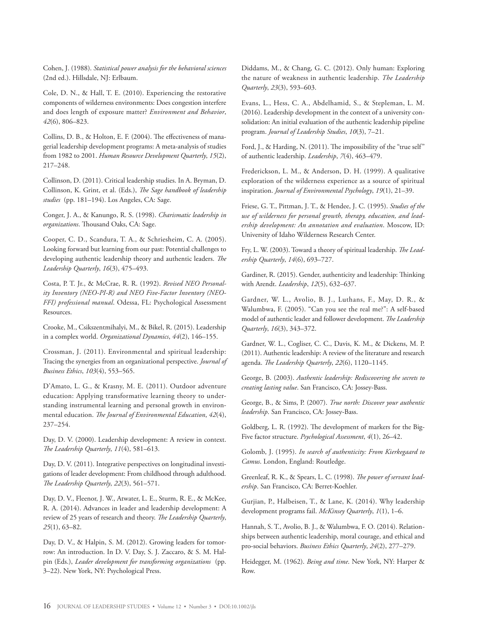Cohen, J. (1988). *Statistical power analysis for the behavioral sciences* (2nd ed.). Hillsdale, NJ: Erlbaum.

Cole, D. N., & Hall, T. E. (2010). Experiencing the restorative components of wilderness environments: Does congestion interfere and does length of exposure matter? *Environment and Behavior*, *42*(6), 806–823.

Collins, D. B., & Holton, E. F. (2004). The effectiveness of managerial leadership development programs: A meta-analysis of studies from 1982 to 2001. *Human Resource Development Quarterly*, *15*(2), 217–248.

Collinson, D. (2011). Critical leadership studies. In A. Bryman, D. Collinson, K. Grint, et al. (Eds.), *The Sage handbook of leadership studies* (pp. 181–194). Los Angeles, CA: Sage.

Conger, J. A., & Kanungo, R. S. (1998). *Charismatic leadership in organizations*. Thousand Oaks, CA: Sage.

Cooper, C. D., Scandura, T. A., & Schriesheim, C. A. (2005). Looking forward but learning from our past: Potential challenges to developing authentic leadership theory and authentic leaders. *The Leadership Quarterly*, *16*(3), 475–493.

Costa, P. T. Jr., & McCrae, R. R. (1992). *Revised NEO Personality Inventory (NEO-PI-R) and NEO Five-Factor Inventory (NEO-FFI) professional manual*. Odessa, FL: Psychological Assessment Resources.

Crooke, M., Csikszentmihalyi, M., & Bikel, R. (2015). Leadership in a complex world. *Organizational Dynamics*, *44*(2), 146–155.

Crossman, J. (2011). Environmental and spiritual leadership: Tracing the synergies from an organizational perspective. *Journal of Business Ethics*, *103*(4), 553–565.

D'Amato, L. G., & Krasny, M. E. (2011). Outdoor adventure education: Applying transformative learning theory to understanding instrumental learning and personal growth in environmental education. *The Journal of Environmental Education*, *42*(4), 237–254.

Day, D. V. (2000). Leadership development: A review in context. *The Leadership Quarterly*, *11*(4), 581–613.

Day, D. V. (2011). Integrative perspectives on longitudinal investigations of leader development: From childhood through adulthood. *The Leadership Quarterly*, *22*(3), 561–571.

Day, D. V., Fleenor, J. W., Atwater, L. E., Sturm, R. E., & McKee, R. A. (2014). Advances in leader and leadership development: A review of 25 years of research and theory. *The Leadership Quarterly*, *25*(1), 63–82.

Day, D. V., & Halpin, S. M. (2012). Growing leaders for tomorrow: An introduction. In D. V. Day, S. J. Zaccaro, & S. M. Halpin (Eds.), *Leader development for transforming organizations* (pp. 3–22). New York, NY: Psychological Press.

Diddams, M., & Chang, G. C. (2012). Only human: Exploring the nature of weakness in authentic leadership. *The Leadership Quarterly*, *23*(3), 593–603.

Evans, L., Hess, C. A., Abdelhamid, S., & Stepleman, L. M. (2016). Leadership development in the context of a university consolidation: An initial evaluation of the authentic leadership pipeline program. *Journal of Leadership Studies*, *10*(3), 7–21.

Ford, J., & Harding, N. (2011). The impossibility of the "true self" of authentic leadership. *Leadership*, *7*(4), 463–479.

Frederickson, L. M., & Anderson, D. H. (1999). A qualitative exploration of the wilderness experience as a source of spiritual inspiration. *Journal of Environmental Psychology*, *19*(1), 21–39.

Friese, G. T., Pittman, J. T., & Hendee, J. C. (1995). *Studies of the use of wilderness for personal growth, therapy, education, and leadership development: An annotation and evaluation*. Moscow, ID: University of Idaho Wilderness Research Center.

Fry, L. W. (2003). Toward a theory of spiritual leadership. *The Leadership Quarterly*, *14*(6), 693–727.

Gardiner, R. (2015). Gender, authenticity and leadership: Thinking with Arendt. *Leadership*, *12*(5), 632–637.

Gardner, W. L., Avolio, B. J., Luthans, F., May, D. R., & Walumbwa, F. (2005). "Can you see the real me?": A self-based model of authentic leader and follower development. *The Leadership Quarterly*, *16*(3), 343–372.

Gardner, W. L., Cogliser, C. C., Davis, K. M., & Dickens, M. P. (2011). Authentic leadership: A review of the literature and research agenda. *The Leadership Quarterly*, *22*(6), 1120–1145.

George, B. (2003). *Authentic leadership: Rediscovering the secrets to creating lasting value*. San Francisco, CA: Jossey-Bass.

George, B., & Sims, P. (2007). *True north: Discover your authentic leadership*. San Francisco, CA: Jossey-Bass.

Goldberg, L. R. (1992). The development of markers for the Big-Five factor structure. *Psychological Assessment*, *4*(1), 26–42.

Golomb, J. (1995). *In search of authenticity: From Kierkegaard to Camus*. London, England: Routledge.

Greenleaf, R. K., & Spears, L. C. (1998). *The power of servant leadership*. San Francisco, CA: Berret-Koehler.

Gurjian, P., Halbeisen, T., & Lane, K. (2014). Why leadership development programs fail. *McKinsey Quarterly*, *1*(1), 1–6.

Hannah, S. T., Avolio, B. J., & Walumbwa, F. O. (2014). Relationships between authentic leadership, moral courage, and ethical and pro-social behaviors. *Business Ethics Quarterly*, *24*(2), 277–279.

Heidegger, M. (1962). *Being and time*. New York, NY: Harper & Row.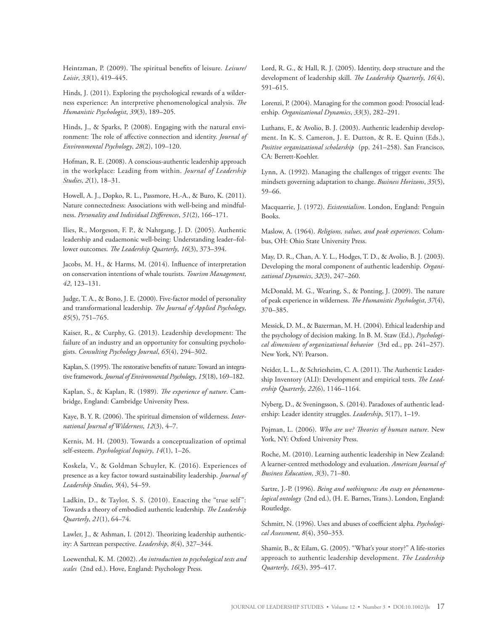Heintzman, P. (2009). The spiritual benefits of leisure. *Leisure/ Loisir*, *33*(1), 419–445.

Hinds, J. (2011). Exploring the psychological rewards of a wilderness experience: An interpretive phenomenological analysis. *The Humanistic Psychologist*, *39*(3), 189–205.

Hinds, J., & Sparks, P. (2008). Engaging with the natural environment: The role of affective connection and identity. *Journal of Environmental Psychology*, *28*(2), 109–120.

Hofman, R. E. (2008). A conscious-authentic leadership approach in the workplace: Leading from within. *Journal of Leadership Studies*, *2*(1), 18–31.

Howell, A. J., Dopko, R. L., Passmore, H.-A., & Buro, K. (2011). Nature connectedness: Associations with well-being and mindfulness. *Personality and Individual Differences*, *51*(2), 166–171.

Ilies, R., Morgeson, F. P., & Nahrgang, J. D. (2005). Authentic leadership and eudaemonic well-being: Understanding leader–follower outcomes. *The Leadership Quarterly*, *16*(3), 373–394.

Jacobs, M. H., & Harms, M. (2014). Influence of interpretation on conservation intentions of whale tourists. *Tourism Management*, *42*, 123–131.

Judge, T. A., & Bono, J. E. (2000). Five-factor model of personality and transformational leadership. *The Journal of Applied Psychology*, *85*(5), 751–765.

Kaiser, R., & Curphy, G. (2013). Leadership development: The failure of an industry and an opportunity for consulting psychologists. *Consulting Psychology Journal*, *65*(4), 294–302.

Kaplan, S. (1995). The restorative benefits of nature: Toward an integrative framework. *Journal of Environmental Psychology*, *15*(18), 169–182.

Kaplan, S., & Kaplan, R. (1989). *The experience of nature*. Cambridge, England: Cambridge University Press.

Kaye, B. Y. R. (2006). The spiritual dimension of wilderness. *International Journal of Wilderness*, *12*(3), 4–7.

Kernis, M. H. (2003). Towards a conceptualization of optimal self-esteem. *Psychological Inquiry*, *14*(1), 1–26.

Koskela, V., & Goldman Schuyler, K. (2016). Experiences of presence as a key factor toward sustainability leadership. *Journal of Leadership Studies*, *9*(4), 54–59.

Ladkin, D., & Taylor, S. S. (2010). Enacting the "true self": Towards a theory of embodied authentic leadership. *The Leadership Quarterly*, *21*(1), 64–74.

Lawler, J., & Ashman, I. (2012). Theorizing leadership authenticity: A Sartrean perspective. *Leadership*, *8*(4), 327–344.

Loewenthal, K. M. (2002). *An introduction to psychological tests and scales* (2nd ed.). Hove, England: Psychology Press.

Lord, R. G., & Hall, R. J. (2005). Identity, deep structure and the development of leadership skill. *The Leadership Quarterly*, *16*(4), 591–615.

Lorenzi, P. (2004). Managing for the common good: Prosocial leadership. *Organizational Dynamics*, *33*(3), 282–291.

Luthans, F., & Avolio, B. J. (2003). Authentic leadership development. In K. S. Cameron, J. E. Dutton, & R. E. Quinn (Eds.), *Positive organizational scholarship* (pp. 241–258). San Francisco, CA: Berrett-Koehler.

Lynn, A. (1992). Managing the challenges of trigger events: The mindsets governing adaptation to change. *Business Horizons*, *35*(5), 59–66.

Macquarrie, J. (1972). *Existentialism*. London, England: Penguin Books.

Maslow, A. (1964). *Religions, values, and peak experiences*. Columbus, OH: Ohio State University Press.

May, D. R., Chan, A. Y. L., Hodges, T. D., & Avolio, B. J. (2003). Developing the moral component of authentic leadership. *Organizational Dynamics*, *32*(3), 247–260.

McDonald, M. G., Wearing, S., & Ponting, J. (2009). The nature of peak experience in wilderness. *The Humanistic Psychologist*, *37*(4), 370–385.

Messick, D. M., & Bazerman, M. H. (2004). Ethical leadership and the psychology of decision making. In B. M. Staw (Ed.), *Psychological dimensions of organizational behavior* (3rd ed., pp. 241–257). New York, NY: Pearson.

Neider, L. L., & Schriesheim, C. A. (2011). The Authentic Leadership Inventory (ALI): Development and empirical tests. *The Leadership Quarterly*, *22*(6), 1146–1164.

Nyberg, D., & Sveningsson, S. (2014). Paradoxes of authentic leadership: Leader identity struggles. *Leadership*, *5*(17), 1–19.

Pojman, L. (2006). *Who are we? Theories of human nature*. New York, NY: Oxford University Press.

Roche, M. (2010). Learning authentic leadership in New Zealand: A learner-centred methodology and evaluation. *American Journal of Business Education*, *3*(3), 71–80.

Sartre, J.-P. (1996). *Being and nothingness: An essay on phenomenological ontology* (2nd ed.), (H. E. Barnes, Trans.). London, England: Routledge.

Schmitt, N. (1996). Uses and abuses of coefficient alpha. *Psychological Assessment*, *8*(4), 350–353.

Shamir, B., & Eilam, G. (2005). "What's your story?" A life-stories approach to authentic leadership development. *The Leadership Quarterly*, *16*(3), 395–417.